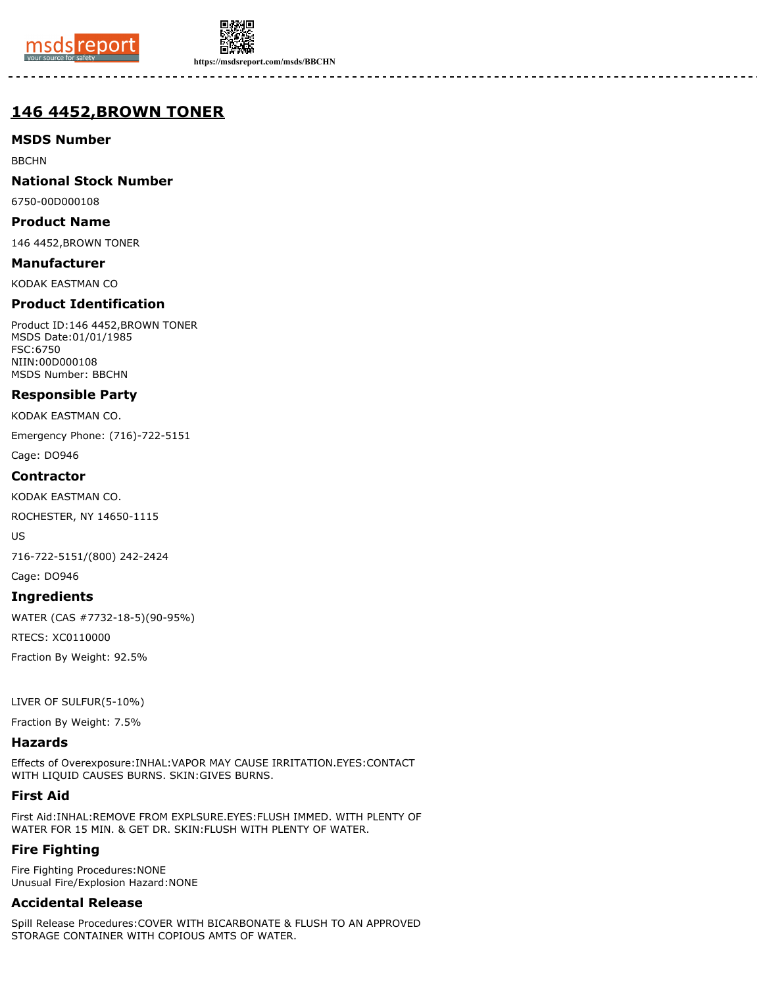



**https://msdsreport.com/msds/BBCHN**

# **146 4452,BROWN TONER**

## **MSDS Number**

BBCHN

## **National Stock Number**

6750-00D000108

## **Product Name**

146 4452,BROWN TONER

#### **Manufacturer**

KODAK EASTMAN CO

## **Product Identification**

Product ID:146 4452,BROWN TONER MSDS Date:01/01/1985 FSC:6750 NIIN:00D000108 MSDS Number: BBCHN

## **Responsible Party**

KODAK EASTMAN CO.

Emergency Phone: (716)-722-5151

Cage: DO946

#### **Contractor**

KODAK EASTMAN CO.

ROCHESTER, NY 14650-1115

US

716-722-5151/(800) 242-2424

Cage: DO946

#### **Ingredients**

WATER (CAS #7732-18-5)(90-95%)

RTECS: XC0110000

Fraction By Weight: 92.5%

LIVER OF SULFUR(5-10%)

Fraction By Weight: 7.5%

#### **Hazards**

Effects of Overexposure:INHAL:VAPOR MAY CAUSE IRRITATION.EYES:CONTACT WITH LIQUID CAUSES BURNS. SKIN:GIVES BURNS.

#### **First Aid**

First Aid:INHAL:REMOVE FROM EXPLSURE.EYES:FLUSH IMMED. WITH PLENTY OF WATER FOR 15 MIN. & GET DR. SKIN:FLUSH WITH PLENTY OF WATER.

## **Fire Fighting**

Fire Fighting Procedures:NONE Unusual Fire/Explosion Hazard:NONE

## **Accidental Release**

Spill Release Procedures:COVER WITH BICARBONATE & FLUSH TO AN APPROVED STORAGE CONTAINER WITH COPIOUS AMTS OF WATER.